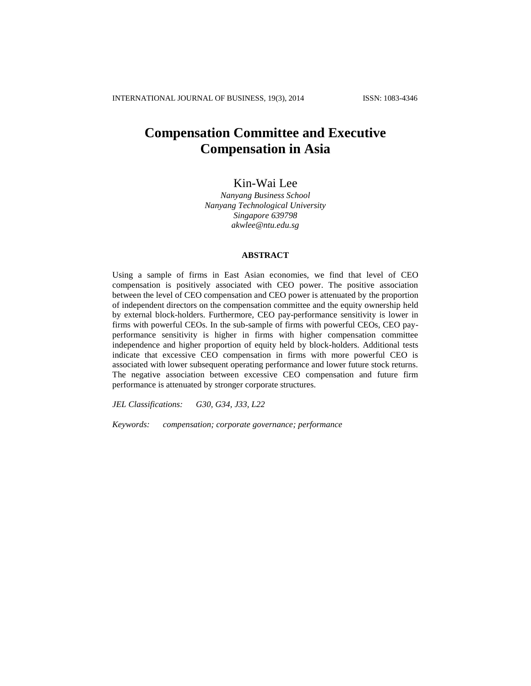# **Compensation Committee and Executive Compensation in Asia**

## Kin-Wai Lee

*Nanyang Business School Nanyang Technological University Singapore 639798 akwlee@ntu.edu.sg*

## **ABSTRACT**

Using a sample of firms in East Asian economies, we find that level of CEO compensation is positively associated with CEO power. The positive association between the level of CEO compensation and CEO power is attenuated by the proportion of independent directors on the compensation committee and the equity ownership held by external block-holders. Furthermore, CEO pay-performance sensitivity is lower in firms with powerful CEOs. In the sub-sample of firms with powerful CEOs, CEO payperformance sensitivity is higher in firms with higher compensation committee independence and higher proportion of equity held by block-holders. Additional tests indicate that excessive CEO compensation in firms with more powerful CEO is associated with lower subsequent operating performance and lower future stock returns. The negative association between excessive CEO compensation and future firm performance is attenuated by stronger corporate structures.

*JEL Classifications: G30, G34, J33, L22*

*Keywords: compensation; corporate governance; performance*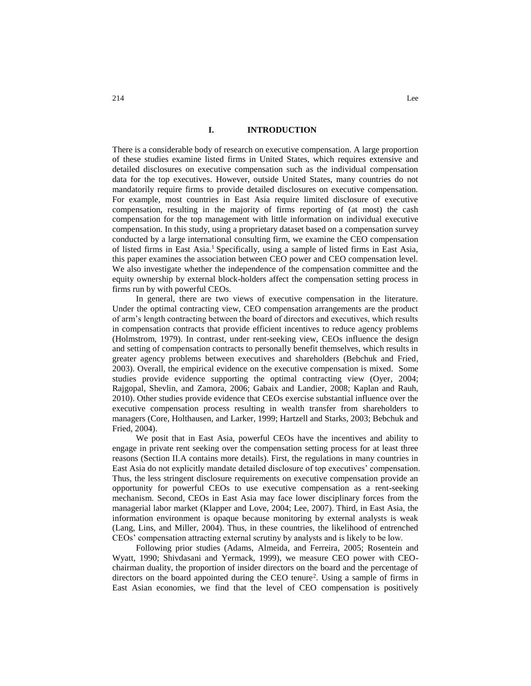### **I. INTRODUCTION**

There is a considerable body of research on executive compensation. A large proportion of these studies examine listed firms in United States, which requires extensive and detailed disclosures on executive compensation such as the individual compensation data for the top executives. However, outside United States, many countries do not mandatorily require firms to provide detailed disclosures on executive compensation. For example, most countries in East Asia require limited disclosure of executive compensation, resulting in the majority of firms reporting of (at most) the cash compensation for the top management with little information on individual executive compensation. In this study, using a proprietary dataset based on a compensation survey conducted by a large international consulting firm, we examine the CEO compensation of listed firms in East Asia.<sup>1</sup> Specifically, using a sample of listed firms in East Asia, this paper examines the association between CEO power and CEO compensation level. We also investigate whether the independence of the compensation committee and the equity ownership by external block-holders affect the compensation setting process in firms run by with powerful CEOs.

In general, there are two views of executive compensation in the literature. Under the optimal contracting view, CEO compensation arrangements are the product of arm's length contracting between the board of directors and executives, which results in compensation contracts that provide efficient incentives to reduce agency problems (Holmstrom, 1979). In contrast, under rent-seeking view, CEOs influence the design and setting of compensation contracts to personally benefit themselves, which results in greater agency problems between executives and shareholders (Bebchuk and Fried, 2003). Overall, the empirical evidence on the executive compensation is mixed. Some studies provide evidence supporting the optimal contracting view (Oyer, 2004; Rajgopal, Shevlin, and Zamora, 2006; Gabaix and Landier, 2008; Kaplan and Rauh, 2010). Other studies provide evidence that CEOs exercise substantial influence over the executive compensation process resulting in wealth transfer from shareholders to managers (Core, Holthausen, and Larker, 1999; Hartzell and Starks, 2003; Bebchuk and Fried, 2004).

We posit that in East Asia, powerful CEOs have the incentives and ability to engage in private rent seeking over the compensation setting process for at least three reasons (Section II.A contains more details). First, the regulations in many countries in East Asia do not explicitly mandate detailed disclosure of top executives' compensation. Thus, the less stringent disclosure requirements on executive compensation provide an opportunity for powerful CEOs to use executive compensation as a rent-seeking mechanism. Second, CEOs in East Asia may face lower disciplinary forces from the managerial labor market (Klapper and Love, 2004; Lee, 2007). Third, in East Asia, the information environment is opaque because monitoring by external analysts is weak (Lang, Lins, and Miller, 2004). Thus, in these countries, the likelihood of entrenched CEOs' compensation attracting external scrutiny by analysts and is likely to be low.

Following prior studies (Adams, Almeida, and Ferreira, 2005; Rosentein and Wyatt, 1990; Shivdasani and Yermack, 1999), we measure CEO power with CEOchairman duality, the proportion of insider directors on the board and the percentage of directors on the board appointed during the CEO tenure<sup>2</sup>. Using a sample of firms in East Asian economies, we find that the level of CEO compensation is positively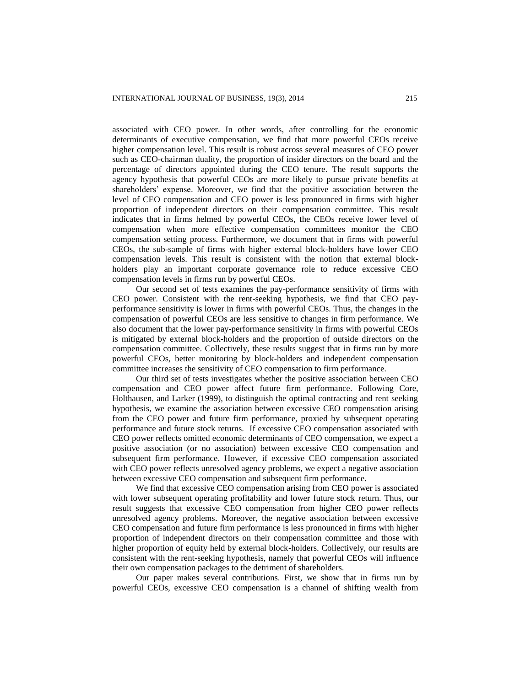associated with CEO power. In other words, after controlling for the economic determinants of executive compensation, we find that more powerful CEOs receive higher compensation level. This result is robust across several measures of CEO power such as CEO-chairman duality, the proportion of insider directors on the board and the percentage of directors appointed during the CEO tenure. The result supports the agency hypothesis that powerful CEOs are more likely to pursue private benefits at shareholders' expense. Moreover, we find that the positive association between the level of CEO compensation and CEO power is less pronounced in firms with higher proportion of independent directors on their compensation committee. This result indicates that in firms helmed by powerful CEOs, the CEOs receive lower level of compensation when more effective compensation committees monitor the CEO compensation setting process. Furthermore, we document that in firms with powerful CEOs, the sub-sample of firms with higher external block-holders have lower CEO compensation levels. This result is consistent with the notion that external blockholders play an important corporate governance role to reduce excessive CEO compensation levels in firms run by powerful CEOs.

Our second set of tests examines the pay-performance sensitivity of firms with CEO power. Consistent with the rent-seeking hypothesis, we find that CEO payperformance sensitivity is lower in firms with powerful CEOs. Thus, the changes in the compensation of powerful CEOs are less sensitive to changes in firm performance. We also document that the lower pay-performance sensitivity in firms with powerful CEOs is mitigated by external block-holders and the proportion of outside directors on the compensation committee. Collectively, these results suggest that in firms run by more powerful CEOs, better monitoring by block-holders and independent compensation committee increases the sensitivity of CEO compensation to firm performance.

Our third set of tests investigates whether the positive association between CEO compensation and CEO power affect future firm performance. Following Core, Holthausen, and Larker (1999), to distinguish the optimal contracting and rent seeking hypothesis, we examine the association between excessive CEO compensation arising from the CEO power and future firm performance, proxied by subsequent operating performance and future stock returns. If excessive CEO compensation associated with CEO power reflects omitted economic determinants of CEO compensation, we expect a positive association (or no association) between excessive CEO compensation and subsequent firm performance. However, if excessive CEO compensation associated with CEO power reflects unresolved agency problems, we expect a negative association between excessive CEO compensation and subsequent firm performance.

We find that excessive CEO compensation arising from CEO power is associated with lower subsequent operating profitability and lower future stock return. Thus, our result suggests that excessive CEO compensation from higher CEO power reflects unresolved agency problems. Moreover, the negative association between excessive CEO compensation and future firm performance is less pronounced in firms with higher proportion of independent directors on their compensation committee and those with higher proportion of equity held by external block-holders. Collectively, our results are consistent with the rent-seeking hypothesis, namely that powerful CEOs will influence their own compensation packages to the detriment of shareholders.

Our paper makes several contributions. First, we show that in firms run by powerful CEOs, excessive CEO compensation is a channel of shifting wealth from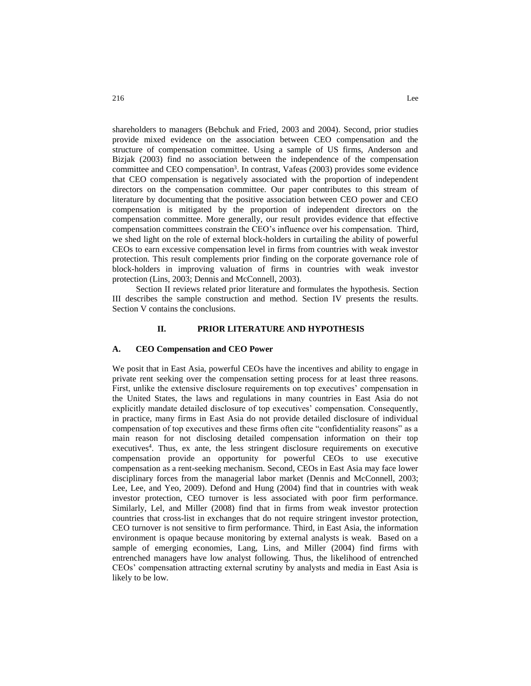shareholders to managers (Bebchuk and Fried, 2003 and 2004). Second, prior studies provide mixed evidence on the association between CEO compensation and the structure of compensation committee. Using a sample of US firms, Anderson and Bizjak (2003) find no association between the independence of the compensation committee and CEO compensation<sup>3</sup>. In contrast, Vafeas (2003) provides some evidence that CEO compensation is negatively associated with the proportion of independent directors on the compensation committee. Our paper contributes to this stream of literature by documenting that the positive association between CEO power and CEO compensation is mitigated by the proportion of independent directors on the compensation committee. More generally, our result provides evidence that effective compensation committees constrain the CEO's influence over his compensation. Third, we shed light on the role of external block-holders in curtailing the ability of powerful CEOs to earn excessive compensation level in firms from countries with weak investor protection. This result complements prior finding on the corporate governance role of block-holders in improving valuation of firms in countries with weak investor protection (Lins, 2003; Dennis and McConnell, 2003).

Section II reviews related prior literature and formulates the hypothesis. Section III describes the sample construction and method. Section IV presents the results. Section V contains the conclusions.

### **II. PRIOR LITERATURE AND HYPOTHESIS**

### **A. CEO Compensation and CEO Power**

We posit that in East Asia, powerful CEOs have the incentives and ability to engage in private rent seeking over the compensation setting process for at least three reasons. First, unlike the extensive disclosure requirements on top executives' compensation in the United States, the laws and regulations in many countries in East Asia do not explicitly mandate detailed disclosure of top executives' compensation. Consequently, in practice, many firms in East Asia do not provide detailed disclosure of individual compensation of top executives and these firms often cite "confidentiality reasons" as a main reason for not disclosing detailed compensation information on their top executives<sup>4</sup>. Thus, ex ante, the less stringent disclosure requirements on executive compensation provide an opportunity for powerful CEOs to use executive compensation as a rent-seeking mechanism. Second, CEOs in East Asia may face lower disciplinary forces from the managerial labor market (Dennis and McConnell, 2003; Lee, Lee, and Yeo, 2009). Defond and Hung (2004) find that in countries with weak investor protection, CEO turnover is less associated with poor firm performance. Similarly, Lel, and Miller (2008) find that in firms from weak investor protection countries that cross-list in exchanges that do not require stringent investor protection, CEO turnover is not sensitive to firm performance. Third, in East Asia, the information environment is opaque because monitoring by external analysts is weak. Based on a sample of emerging economies, Lang, Lins, and Miller (2004) find firms with entrenched managers have low analyst following. Thus, the likelihood of entrenched CEOs' compensation attracting external scrutiny by analysts and media in East Asia is likely to be low.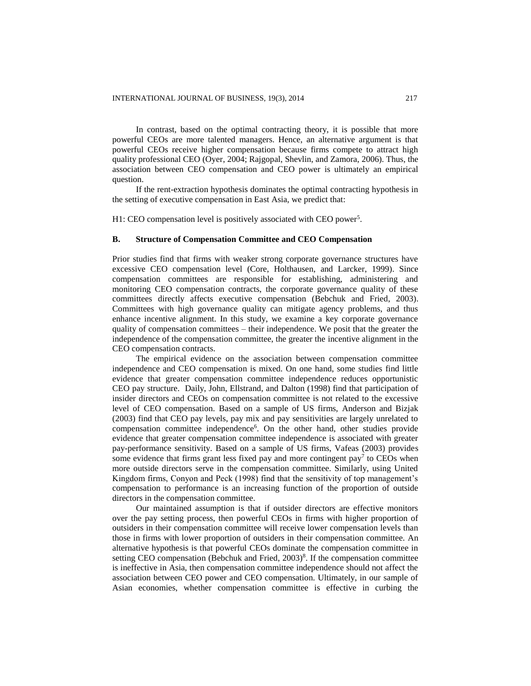In contrast, based on the optimal contracting theory, it is possible that more powerful CEOs are more talented managers. Hence, an alternative argument is that powerful CEOs receive higher compensation because firms compete to attract high quality professional CEO (Oyer, 2004; Rajgopal, Shevlin, and Zamora, 2006). Thus, the association between CEO compensation and CEO power is ultimately an empirical question.

If the rent-extraction hypothesis dominates the optimal contracting hypothesis in the setting of executive compensation in East Asia, we predict that:

H1: CEO compensation level is positively associated with CEO power<sup>5</sup>.

## **B. Structure of Compensation Committee and CEO Compensation**

Prior studies find that firms with weaker strong corporate governance structures have excessive CEO compensation level (Core, Holthausen, and Larcker, 1999). Since compensation committees are responsible for establishing, administering and monitoring CEO compensation contracts, the corporate governance quality of these committees directly affects executive compensation (Bebchuk and Fried, 2003). Committees with high governance quality can mitigate agency problems, and thus enhance incentive alignment. In this study, we examine a key corporate governance quality of compensation committees – their independence. We posit that the greater the independence of the compensation committee, the greater the incentive alignment in the CEO compensation contracts.

The empirical evidence on the association between compensation committee independence and CEO compensation is mixed. On one hand, some studies find little evidence that greater compensation committee independence reduces opportunistic CEO pay structure. Daily, John, Ellstrand, and Dalton (1998) find that participation of insider directors and CEOs on compensation committee is not related to the excessive level of CEO compensation. Based on a sample of US firms, Anderson and Bizjak (2003) find that CEO pay levels, pay mix and pay sensitivities are largely unrelated to compensation committee independence<sup>6</sup>. On the other hand, other studies provide evidence that greater compensation committee independence is associated with greater pay-performance sensitivity. Based on a sample of US firms, Vafeas (2003) provides some evidence that firms grant less fixed pay and more contingent  $pay<sup>7</sup>$  to CEOs when more outside directors serve in the compensation committee. Similarly, using United Kingdom firms, Conyon and Peck (1998) find that the sensitivity of top management's compensation to performance is an increasing function of the proportion of outside directors in the compensation committee.

Our maintained assumption is that if outsider directors are effective monitors over the pay setting process, then powerful CEOs in firms with higher proportion of outsiders in their compensation committee will receive lower compensation levels than those in firms with lower proportion of outsiders in their compensation committee. An alternative hypothesis is that powerful CEOs dominate the compensation committee in setting CEO compensation (Bebchuk and Fried, 2003)<sup>8</sup>. If the compensation committee is ineffective in Asia, then compensation committee independence should not affect the association between CEO power and CEO compensation. Ultimately, in our sample of Asian economies, whether compensation committee is effective in curbing the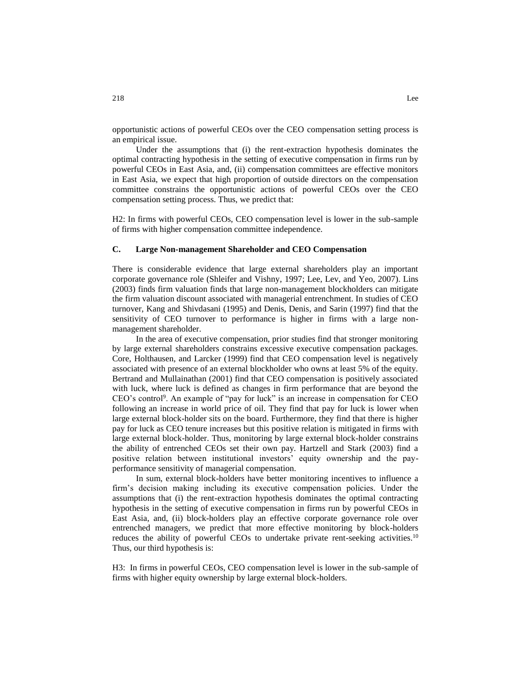opportunistic actions of powerful CEOs over the CEO compensation setting process is an empirical issue.

Under the assumptions that (i) the rent-extraction hypothesis dominates the optimal contracting hypothesis in the setting of executive compensation in firms run by powerful CEOs in East Asia, and, (ii) compensation committees are effective monitors in East Asia, we expect that high proportion of outside directors on the compensation committee constrains the opportunistic actions of powerful CEOs over the CEO compensation setting process. Thus, we predict that:

H2: In firms with powerful CEOs, CEO compensation level is lower in the sub-sample of firms with higher compensation committee independence.

## **C. Large Non-management Shareholder and CEO Compensation**

There is considerable evidence that large external shareholders play an important corporate governance role (Shleifer and Vishny, 1997; Lee, Lev, and Yeo, 2007). Lins (2003) finds firm valuation finds that large non-management blockholders can mitigate the firm valuation discount associated with managerial entrenchment. In studies of CEO turnover, Kang and Shivdasani (1995) and Denis, Denis, and Sarin (1997) find that the sensitivity of CEO turnover to performance is higher in firms with a large nonmanagement shareholder.

In the area of executive compensation, prior studies find that stronger monitoring by large external shareholders constrains excessive executive compensation packages. Core, Holthausen, and Larcker (1999) find that CEO compensation level is negatively associated with presence of an external blockholder who owns at least 5% of the equity. Bertrand and Mullainathan (2001) find that CEO compensation is positively associated with luck, where luck is defined as changes in firm performance that are beyond the CEO's control<sup>9</sup> . An example of "pay for luck" is an increase in compensation for CEO following an increase in world price of oil. They find that pay for luck is lower when large external block-holder sits on the board. Furthermore, they find that there is higher pay for luck as CEO tenure increases but this positive relation is mitigated in firms with large external block-holder. Thus, monitoring by large external block-holder constrains the ability of entrenched CEOs set their own pay. Hartzell and Stark (2003) find a positive relation between institutional investors' equity ownership and the payperformance sensitivity of managerial compensation.

In sum, external block-holders have better monitoring incentives to influence a firm's decision making including its executive compensation policies. Under the assumptions that (i) the rent-extraction hypothesis dominates the optimal contracting hypothesis in the setting of executive compensation in firms run by powerful CEOs in East Asia, and, (ii) block-holders play an effective corporate governance role over entrenched managers, we predict that more effective monitoring by block-holders reduces the ability of powerful CEOs to undertake private rent-seeking activities.<sup>10</sup> Thus, our third hypothesis is:

H3: In firms in powerful CEOs, CEO compensation level is lower in the sub-sample of firms with higher equity ownership by large external block-holders.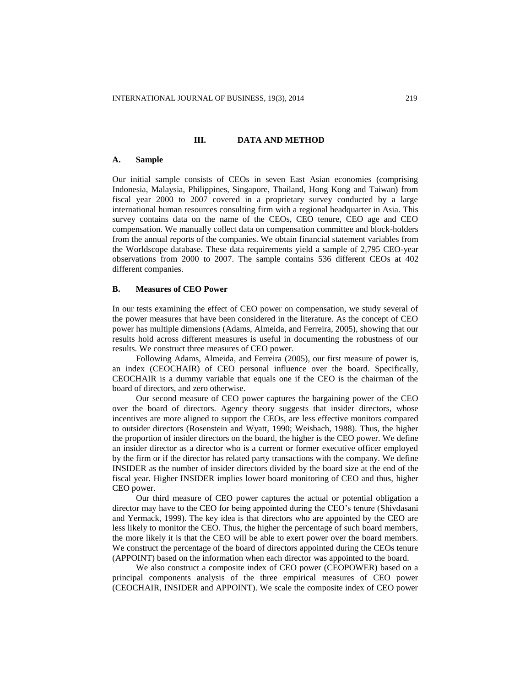## **III. DATA AND METHOD**

#### **A. Sample**

Our initial sample consists of CEOs in seven East Asian economies (comprising Indonesia, Malaysia, Philippines, Singapore, Thailand, Hong Kong and Taiwan) from fiscal year 2000 to 2007 covered in a proprietary survey conducted by a large international human resources consulting firm with a regional headquarter in Asia. This survey contains data on the name of the CEOs, CEO tenure, CEO age and CEO compensation. We manually collect data on compensation committee and block-holders from the annual reports of the companies. We obtain financial statement variables from the Worldscope database. These data requirements yield a sample of 2,795 CEO-year observations from 2000 to 2007. The sample contains 536 different CEOs at 402 different companies.

### **B. Measures of CEO Power**

In our tests examining the effect of CEO power on compensation, we study several of the power measures that have been considered in the literature. As the concept of CEO power has multiple dimensions (Adams, Almeida, and Ferreira, 2005), showing that our results hold across different measures is useful in documenting the robustness of our results. We construct three measures of CEO power.

Following Adams, Almeida, and Ferreira (2005), our first measure of power is, an index (CEOCHAIR) of CEO personal influence over the board. Specifically, CEOCHAIR is a dummy variable that equals one if the CEO is the chairman of the board of directors, and zero otherwise.

Our second measure of CEO power captures the bargaining power of the CEO over the board of directors. Agency theory suggests that insider directors, whose incentives are more aligned to support the CEOs, are less effective monitors compared to outsider directors (Rosenstein and Wyatt, 1990; Weisbach, 1988). Thus, the higher the proportion of insider directors on the board, the higher is the CEO power. We define an insider director as a director who is a current or former executive officer employed by the firm or if the director has related party transactions with the company. We define INSIDER as the number of insider directors divided by the board size at the end of the fiscal year. Higher INSIDER implies lower board monitoring of CEO and thus, higher CEO power.

Our third measure of CEO power captures the actual or potential obligation a director may have to the CEO for being appointed during the CEO's tenure (Shivdasani and Yermack, 1999). The key idea is that directors who are appointed by the CEO are less likely to monitor the CEO. Thus, the higher the percentage of such board members, the more likely it is that the CEO will be able to exert power over the board members. We construct the percentage of the board of directors appointed during the CEOs tenure (APPOINT) based on the information when each director was appointed to the board.

We also construct a composite index of CEO power (CEOPOWER) based on a principal components analysis of the three empirical measures of CEO power (CEOCHAIR, INSIDER and APPOINT). We scale the composite index of CEO power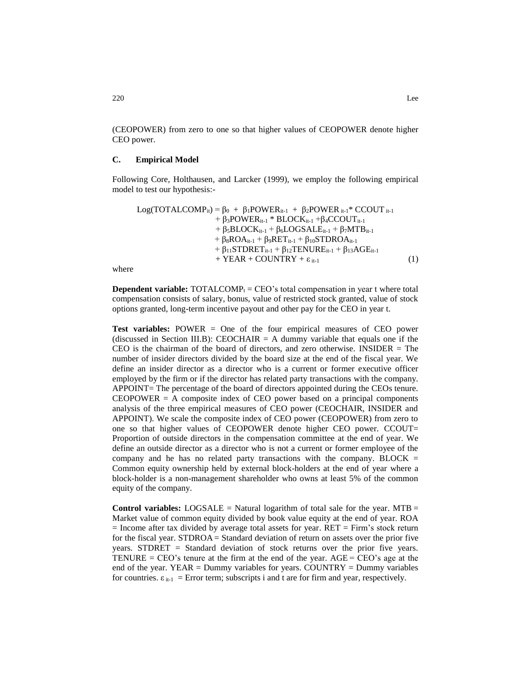(CEOPOWER) from zero to one so that higher values of CEOPOWER denote higher CEO power.

## **C. Empirical Model**

Following Core, Holthausen, and Larcker (1999), we employ the following empirical model to test our hypothesis:-

```
Log(TOTALCOMP<sub>it</sub>) = \beta_0 + \beta_1POWER<sub>it-1</sub> + \beta_2POWER<sub>it-1</sub>* CCOUT<sub>it-1</sub>
                     + β_3POWER<sub>it-1</sub> * BLOCK<sub>it-1</sub> +β_4CCOUT<sub>it-1</sub>
                      + \beta_5BLOCK_{it-1} + \beta_6LOGSALE_{it-1} + \beta_7 MTB_{it-1}+ \beta_8ROA_{it-1} + \beta_9RET_{it-1} + \beta_{10}STDROA_{it-1}+ \beta_{11}STDRET<sub>it-1</sub> + \beta_{12}TENURE<sub>it-1</sub> + \beta_{13}AGE<sub>it-1</sub>
                      + YEAR + COUNTRY + \varepsilon<sub>it-1</sub> (1)
```
where

**Dependent variable:**  $\text{TOTALCOMP}_t = \text{CEO's total compensation in year t where total$ compensation consists of salary, bonus, value of restricted stock granted, value of stock options granted, long-term incentive payout and other pay for the CEO in year t.

**Test variables:** POWER = One of the four empirical measures of CEO power (discussed in Section III.B): CEOCHAIR  $=$  A dummy variable that equals one if the CEO is the chairman of the board of directors, and zero otherwise. INSIDER = The number of insider directors divided by the board size at the end of the fiscal year. We define an insider director as a director who is a current or former executive officer employed by the firm or if the director has related party transactions with the company. APPOINT= The percentage of the board of directors appointed during the CEOs tenure.  $CEOPOWER = A$  composite index of CEO power based on a principal components analysis of the three empirical measures of CEO power (CEOCHAIR, INSIDER and APPOINT). We scale the composite index of CEO power (CEOPOWER) from zero to one so that higher values of CEOPOWER denote higher CEO power. CCOUT= Proportion of outside directors in the compensation committee at the end of year. We define an outside director as a director who is not a current or former employee of the company and he has no related party transactions with the company. BLOCK  $=$ Common equity ownership held by external block-holders at the end of year where a block-holder is a non-management shareholder who owns at least 5% of the common equity of the company.

**Control variables:** LOGSALE = Natural logarithm of total sale for the year. MTB = Market value of common equity divided by book value equity at the end of year. ROA  $=$  Income after tax divided by average total assets for year. RET  $=$  Firm's stock return for the fiscal year. STDROA = Standard deviation of return on assets over the prior five years. STDRET = Standard deviation of stock returns over the prior five years. TENURE =  $CEO$ 's tenure at the firm at the end of the year.  $AGE = CEO$ 's age at the end of the year. YEAR = Dummy variables for years. COUNTRY = Dummy variables for countries.  $\varepsilon_{i+1}$  = Error term; subscripts i and t are for firm and year, respectively.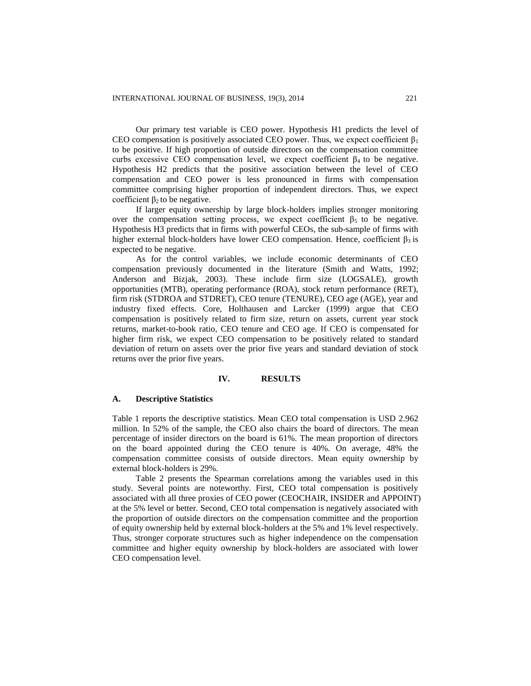Our primary test variable is CEO power. Hypothesis H1 predicts the level of CEO compensation is positively associated CEO power. Thus, we expect coefficient  $\beta_1$ to be positive. If high proportion of outside directors on the compensation committee curbs excessive CEO compensation level, we expect coefficient  $\beta_4$  to be negative. Hypothesis H2 predicts that the positive association between the level of CEO compensation and CEO power is less pronounced in firms with compensation committee comprising higher proportion of independent directors. Thus, we expect coefficient  $β_2$  to be negative.

If larger equity ownership by large block-holders implies stronger monitoring over the compensation setting process, we expect coefficient  $\beta_5$  to be negative. Hypothesis H3 predicts that in firms with powerful CEOs, the sub-sample of firms with higher external block-holders have lower CEO compensation. Hence, coefficient  $β_3$  is expected to be negative.

As for the control variables, we include economic determinants of CEO compensation previously documented in the literature (Smith and Watts, 1992; Anderson and Bizjak, 2003). These include firm size (LOGSALE), growth opportunities (MTB), operating performance (ROA), stock return performance (RET), firm risk (STDROA and STDRET), CEO tenure (TENURE), CEO age (AGE), year and industry fixed effects. Core, Holthausen and Larcker (1999) argue that CEO compensation is positively related to firm size, return on assets, current year stock returns, market-to-book ratio, CEO tenure and CEO age. If CEO is compensated for higher firm risk, we expect CEO compensation to be positively related to standard deviation of return on assets over the prior five years and standard deviation of stock returns over the prior five years.

### **IV. RESULTS**

### **A. Descriptive Statistics**

Table 1 reports the descriptive statistics. Mean CEO total compensation is USD 2.962 million. In 52% of the sample, the CEO also chairs the board of directors. The mean percentage of insider directors on the board is 61%. The mean proportion of directors on the board appointed during the CEO tenure is 40%. On average, 48% the compensation committee consists of outside directors. Mean equity ownership by external block-holders is 29%.

Table 2 presents the Spearman correlations among the variables used in this study. Several points are noteworthy. First, CEO total compensation is positively associated with all three proxies of CEO power (CEOCHAIR, INSIDER and APPOINT) at the 5% level or better. Second, CEO total compensation is negatively associated with the proportion of outside directors on the compensation committee and the proportion of equity ownership held by external block-holders at the 5% and 1% level respectively. Thus, stronger corporate structures such as higher independence on the compensation committee and higher equity ownership by block-holders are associated with lower CEO compensation level.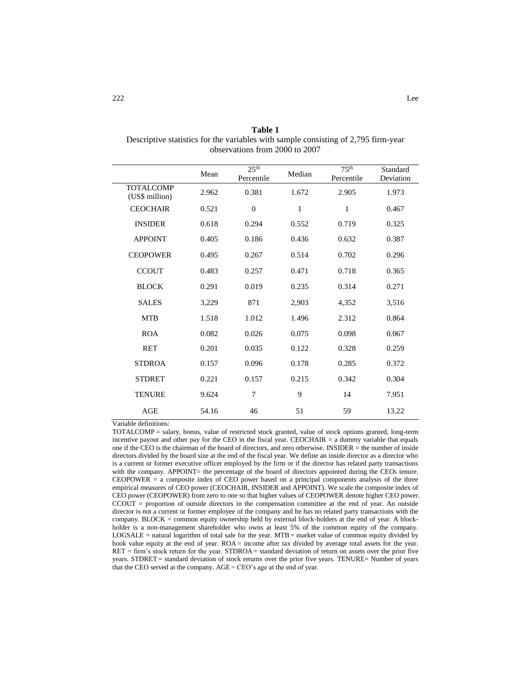**Table 1** Descriptive statistics for the variables with sample consisting of 2,795 firm-year observations from 2000 to 2007

|                                    | Mean  | 25 <sup>th</sup><br>Percentile | Median       | 75 <sup>th</sup><br>Percentile | Standard<br>Deviation |
|------------------------------------|-------|--------------------------------|--------------|--------------------------------|-----------------------|
| <b>TOTALCOMP</b><br>(US\$ million) | 2.962 | 0.381                          | 1.672        | 2.905                          | 1.973                 |
| <b>CEOCHAIR</b>                    | 0.521 | $\overline{0}$                 | $\mathbf{1}$ | 1                              | 0.467                 |
| <b>INSIDER</b>                     | 0.618 | 0.294                          | 0.552        | 0.719                          | 0.325                 |
| <b>APPOINT</b>                     | 0.405 | 0.186                          | 0.436        | 0.632                          | 0.387                 |
| <b>CEOPOWER</b>                    | 0.495 | 0.267                          | 0.514        | 0.702                          | 0.296                 |
| <b>CCOUT</b>                       | 0.483 | 0.257                          | 0.471        | 0.718                          | 0.365                 |
| <b>BLOCK</b>                       | 0.291 | 0.019                          | 0.235        | 0.314                          | 0.271                 |
| <b>SALES</b>                       | 3,229 | 871                            | 2,903        | 4,352                          | 3,516                 |
| <b>MTB</b>                         | 1.518 | 1.012                          | 1.496        | 2.312                          | 0.864                 |
| <b>ROA</b>                         | 0.082 | 0.026                          | 0.075        | 0.098                          | 0.067                 |
| <b>RET</b>                         | 0.201 | 0.035                          | 0.122        | 0.328                          | 0.259                 |
| <b>STDROA</b>                      | 0.157 | 0.096                          | 0.178        | 0.285                          | 0.372                 |
| <b>STDRET</b>                      | 0.221 | 0.157                          | 0.215        | 0.342                          | 0.304                 |
| <b>TENURE</b>                      | 9.624 | $\overline{7}$                 | 9            | 14                             | 7.951                 |
| AGE                                | 54.16 | 46                             | 51           | 59                             | 13.22                 |

Variable definitions:

TOTALCOMP = salary, bonus, value of restricted stock granted, value of stock options granted, long-term incentive payout and other pay for the CEO in the fiscal year. CEOCHAIR = a dummy variable that equals one if the CEO is the chairman of the board of directors, and zero otherwise. INSIDER = the number of inside directors divided by the board size at the end of the fiscal year. We define an inside director as a director who is a current or former executive officer employed by the firm or if the director has related party transactions with the company. APPOINT= the percentage of the board of directors appointed during the CEOs tenure. CEOPOWER = a composite index of CEO power based on a principal components analysis of the three empirical measures of CEO power (CEOCHAIR, INSIDER and APPOINT). We scale the composite index of CEO power (CEOPOWER) from zero to one so that higher values of CEOPOWER denote higher CEO power. CCOUT = proportion of outside directors in the compensation committee at the end of year. An outside director is not a current or former employee of the company and he has no related party transactions with the company. BLOCK = common equity ownership held by external block-holders at the end of year. A blockholder is a non-management shareholder who owns at least 5% of the common equity of the company. LOGSALE = natural logarithm of total sale for the year.  $MTB$  = market value of common equity divided by book value equity at the end of year. ROA = income after tax divided by average total assets for the year.  $RET = firm's stock return for the year. STDROA = standard deviation of return on assets over the prior five$ years. STDRET = standard deviation of stock returns over the prior five years. TENURE= Number of years that the CEO served at the company. AGE = CEO's age at the end of year.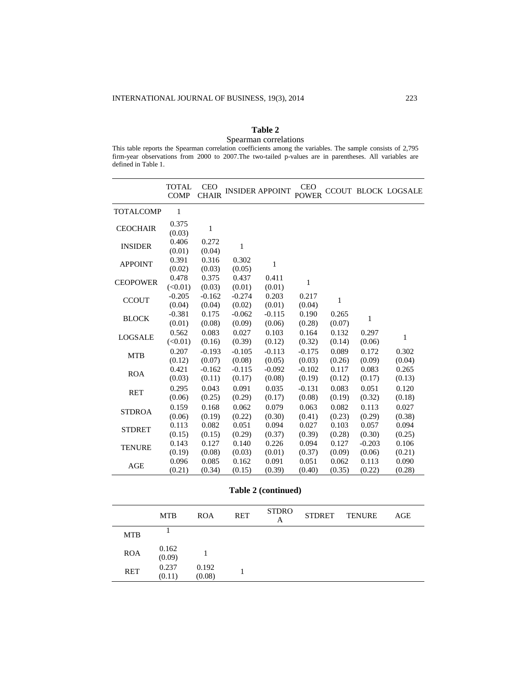## **Table 2** Spearman correlations

|                     |  |  |  |  | This table reports the Spearman correlation coefficients among the variables. The sample consists of 2,795 |  |  |
|---------------------|--|--|--|--|------------------------------------------------------------------------------------------------------------|--|--|
|                     |  |  |  |  | firm-year observations from 2000 to 2007. The two-tailed p-values are in parentheses. All variables are    |  |  |
| defined in Table 1. |  |  |  |  |                                                                                                            |  |  |

|                  | <b>TOTAL</b><br><b>COMP</b> | <b>CEO</b><br><b>CHAIR</b> |                    | <b>INSIDER APPOINT</b> | <b>CEO</b><br><b>POWER</b> |                 |                    | <b>CCOUT BLOCK LOGSALE</b> |
|------------------|-----------------------------|----------------------------|--------------------|------------------------|----------------------------|-----------------|--------------------|----------------------------|
| <b>TOTALCOMP</b> | 1                           |                            |                    |                        |                            |                 |                    |                            |
| <b>CEOCHAIR</b>  | 0.375<br>(0.03)             | 1                          |                    |                        |                            |                 |                    |                            |
| <b>INSIDER</b>   | 0.406<br>(0.01)             | 0.272<br>(0.04)            | $\mathbf{1}$       |                        |                            |                 |                    |                            |
| <b>APPOINT</b>   | 0.391<br>(0.02)             | 0.316<br>(0.03)            | 0.302<br>(0.05)    | 1                      |                            |                 |                    |                            |
| <b>CEOPOWER</b>  | 0.478<br>(<0.01)            | 0.375<br>(0.03)            | 0.437<br>(0.01)    | 0.411<br>(0.01)        | 1                          |                 |                    |                            |
| <b>CCOUT</b>     | $-0.205$<br>(0.04)          | $-0.162$<br>(0.04)         | $-0.274$<br>(0.02) | 0.203<br>(0.01)        | 0.217<br>(0.04)            | 1               |                    |                            |
| <b>BLOCK</b>     | $-0.381$<br>(0.01)          | 0.175<br>(0.08)            | $-0.062$<br>(0.09) | $-0.115$<br>(0.06)     | 0.190<br>(0.28)            | 0.265<br>(0.07) | 1                  |                            |
| <b>LOGSALE</b>   | 0.562<br>(<0.01)            | 0.083<br>(0.16)            | 0.027<br>(0.39)    | 0.103<br>(0.12)        | 0.164<br>(0.32)            | 0.132<br>(0.14) | 0.297<br>(0.06)    | $\mathbf{1}$               |
| <b>MTB</b>       | 0.207                       | $-0.193$                   | $-0.105$           | $-0.113$               | $-0.175$                   | 0.089           | 0.172              | 0.302                      |
| <b>ROA</b>       | (0.12)<br>0.421             | (0.07)<br>$-0.162$         | (0.08)<br>$-0.115$ | (0.05)<br>$-0.092$     | (0.03)<br>$-0.102$         | (0.26)<br>0.117 | (0.09)<br>0.083    | (0.04)<br>0.265            |
|                  | (0.03)<br>0.295             | (0.11)<br>0.043            | (0.17)<br>0.091    | (0.08)<br>0.035        | (0.19)<br>$-0.131$         | (0.12)<br>0.083 | (0.17)<br>0.051    | (0.13)<br>0.120            |
| <b>RET</b>       | (0.06)<br>0.159             | (0.25)<br>0.168            | (0.29)<br>0.062    | (0.17)<br>0.079        | (0.08)<br>0.063            | (0.19)<br>0.082 | (0.32)<br>0.113    | (0.18)<br>0.027            |
| <b>STDROA</b>    | (0.06)<br>0.113             | (0.19)<br>0.082            | (0.22)<br>0.051    | (0.30)<br>0.094        | (0.41)<br>0.027            | (0.23)<br>0.103 | (0.29)<br>0.057    | (0.38)<br>0.094            |
| <b>STDRET</b>    | (0.15)                      | (0.15)                     | (0.29)             | (0.37)                 | (0.39)                     | (0.28)          | (0.30)             | (0.25)                     |
| <b>TENURE</b>    | 0.143<br>(0.19)             | 0.127<br>(0.08)            | 0.140<br>(0.03)    | 0.226<br>(0.01)        | 0.094<br>(0.37)            | 0.127<br>(0.09) | $-0.203$<br>(0.06) | 0.106<br>(0.21)            |
| <b>AGE</b>       | 0.096<br>(0.21)             | 0.085<br>(0.34)            | 0.162<br>(0.15)    | 0.091<br>(0.39)        | 0.051<br>(0.40)            | 0.062<br>(0.35) | 0.113<br>(0.22)    | 0.090<br>(0.28)            |

**Table 2 (continued)**

|            | <b>MTB</b>      | <b>ROA</b>      | <b>RET</b> | <b>STDRO</b><br>А | STDRET | <b>TENURE</b> | AGE |
|------------|-----------------|-----------------|------------|-------------------|--------|---------------|-----|
| <b>MTB</b> |                 |                 |            |                   |        |               |     |
| <b>ROA</b> | 0.162<br>(0.09) |                 |            |                   |        |               |     |
| RET        | 0.237<br>(0.11) | 0.192<br>(0.08) |            |                   |        |               |     |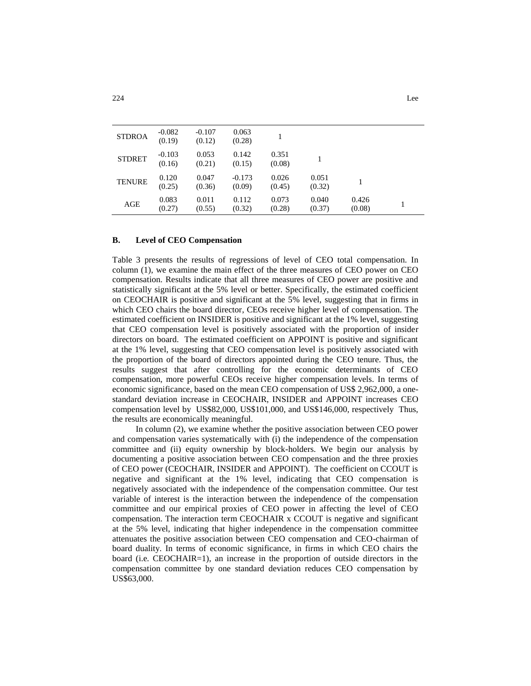| $-0.107$<br>(0.12) | 0.063<br>(0.28) |                 |  |  |
|--------------------|-----------------|-----------------|--|--|
| 0.053<br>(0.21)    | 0.142<br>(0.15) | 0.351<br>(0.08) |  |  |

0.051

0.040 (0.37)

 $(0.32)$  1

0.426

 $(0.08)$  1

0.026 (0.45)

0.073 (0.28)

### **B. Level of CEO Compensation**

Table 3 presents the results of regressions of level of CEO total compensation. In column (1), we examine the main effect of the three measures of CEO power on CEO compensation. Results indicate that all three measures of CEO power are positive and statistically significant at the 5% level or better. Specifically, the estimated coefficient on CEOCHAIR is positive and significant at the 5% level, suggesting that in firms in which CEO chairs the board director, CEOs receive higher level of compensation. The estimated coefficient on INSIDER is positive and significant at the 1% level, suggesting that CEO compensation level is positively associated with the proportion of insider directors on board. The estimated coefficient on APPOINT is positive and significant at the 1% level, suggesting that CEO compensation level is positively associated with the proportion of the board of directors appointed during the CEO tenure. Thus, the results suggest that after controlling for the economic determinants of CEO compensation, more powerful CEOs receive higher compensation levels. In terms of economic significance, based on the mean CEO compensation of US\$ 2,962,000, a onestandard deviation increase in CEOCHAIR, INSIDER and APPOINT increases CEO compensation level by US\$82,000, US\$101,000, and US\$146,000, respectively Thus, the results are economically meaningful.

In column (2), we examine whether the positive association between CEO power and compensation varies systematically with (i) the independence of the compensation committee and (ii) equity ownership by block-holders. We begin our analysis by documenting a positive association between CEO compensation and the three proxies of CEO power (CEOCHAIR, INSIDER and APPOINT). The coefficient on CCOUT is negative and significant at the 1% level, indicating that CEO compensation is negatively associated with the independence of the compensation committee. Our test variable of interest is the interaction between the independence of the compensation committee and our empirical proxies of CEO power in affecting the level of CEO compensation. The interaction term CEOCHAIR x CCOUT is negative and significant at the 5% level, indicating that higher independence in the compensation committee attenuates the positive association between CEO compensation and CEO-chairman of board duality. In terms of economic significance, in firms in which CEO chairs the board (i.e. CEOCHAIR=1), an increase in the proportion of outside directors in the compensation committee by one standard deviation reduces CEO compensation by US\$63,000.

 $STDROA = \frac{-0.082}{0.182}$ 

 $STDRET \qquad -0.103$ 

TENURE  $^{0.120}_{0.25}$ 

AGE  $0.083$ 

(0.19)

(0.16)

(0.25)

 $(0.27)$ 

0.047 (0.36)

0.011 (0.55) -0.173 (0.09)

0.112 (0.32)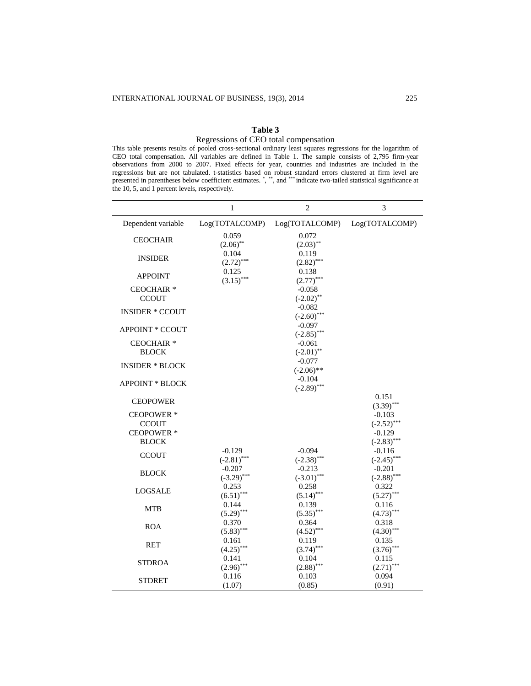# **Table 3**

## Regressions of CEO total compensation

This table presents results of pooled cross-sectional ordinary least squares regressions for the logarithm of CEO total compensation. All variables are defined in Table 1. The sample consists of 2,795 firm-year observations from 2000 to 2007. Fixed effects for year, countries and industries are included in the regressions but are not tabulated. t-statistics based on robust standard errors clustered at firm level are presented in parentheses below coefficient estimates. \*, \*\*\*, and \*\*\*\* indicate two-tailed statistical significance at the 10, 5, and 1 percent levels, respectively.

|                                       | $\mathbf{1}$          | $\overline{c}$            | 3                         |
|---------------------------------------|-----------------------|---------------------------|---------------------------|
| Dependent variable                    | Log(TOTALCOMP)        | Log(TOTALCOMP)            | Log(TOTALCOMP)            |
| <b>CEOCHAIR</b>                       | 0.059                 | 0.072                     |                           |
|                                       | $(2.06)$ **<br>0.104  | $(2.03)$ **<br>0.119      |                           |
| <b>INSIDER</b>                        | $(2.72)$ ***          | $(2.82)$ ***              |                           |
| <b>APPOINT</b>                        | 0.125                 | 0.138                     |                           |
|                                       | $(3.15)$ ***          | $(2.77)$ ***              |                           |
| CEOCHAIR <sup>*</sup>                 |                       | $-0.058$                  |                           |
| <b>CCOUT</b>                          |                       | $(-2.02)$ **              |                           |
| <b>INSIDER * CCOUT</b>                |                       | $-0.082$<br>$(-2.60)$ *** |                           |
|                                       |                       | $-0.097$                  |                           |
| <b>APPOINT * CCOUT</b>                |                       | $(-2.85)$ ***             |                           |
| <b>CEOCHAIR*</b>                      |                       | $-0.061$                  |                           |
| <b>BLOCK</b>                          |                       | $(-2.01)$ **              |                           |
| <b>INSIDER * BLOCK</b>                |                       | $-0.077$                  |                           |
|                                       |                       | $(-2.06)$ **<br>$-0.104$  |                           |
| <b>APPOINT * BLOCK</b>                |                       | $(-2.89)$ ***             |                           |
|                                       |                       |                           | 0.151                     |
| <b>CEOPOWER</b>                       |                       |                           | $(3.39)$ ***              |
| <b>CEOPOWER*</b>                      |                       |                           | $-0.103$                  |
| <b>CCOUT</b>                          |                       |                           | $(-2.52)$ ***             |
| CEOPOWER <sup>*</sup><br><b>BLOCK</b> |                       |                           | $-0.129$<br>$(-2.83)$ *** |
|                                       | $-0.129$              | $-0.094$                  | $-0.116$                  |
| <b>CCOUT</b>                          | $(-2.81)$ ***         | $(-2.38)$ ***             | $(-2.45)$ ***             |
| <b>BLOCK</b>                          | $-0.207$              | $-0.213$                  | $-0.201$                  |
|                                       | $(-3.29)$ ***         | $(-3.01)$ ***             | $(-2.88)$ ***             |
| <b>LOGSALE</b>                        | 0.253                 | 0.258                     | 0.322                     |
|                                       | $(6.51)$ ***          | $(5.14)$ ***              | $(5.27)$ ***              |
| MTB                                   | 0.144<br>$(5.29)$ *** | 0.139<br>$(5.35)$ ***     | 0.116<br>$(4.73)$ ***     |
|                                       | 0.370                 | 0.364                     | 0.318                     |
| <b>ROA</b>                            | $(5.83)$ ***          | $(.4.52)$ ***             | $(.4.30)$ ***             |
| <b>RET</b>                            | 0.161                 | 0.119                     | 0.135                     |
|                                       | $(4.25)$ ***          | $(3.74)$ ***              | $(3.76)$ ***              |
| <b>STDROA</b>                         | 0.141                 | 0.104                     | 0.115                     |
|                                       | $(2.96)$ ***<br>0.116 | $(2.88)$ ***<br>0.103     | $(2.71)$ ***<br>0.094     |
| <b>STDRET</b>                         | (1.07)                | (0.85)                    | (0.91)                    |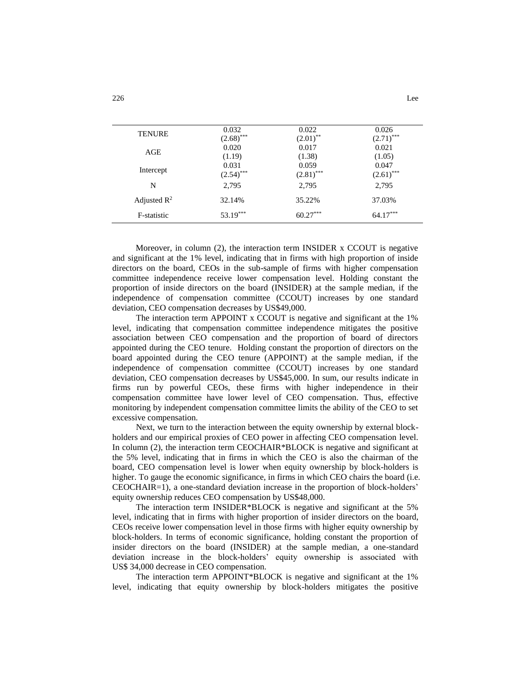| <b>TENURE</b>           | 0.032<br>$(2.68)$ *** | 0.022<br>$(2.01)$ **  | 0.026<br>$(2.71)$ *** |
|-------------------------|-----------------------|-----------------------|-----------------------|
| AGE                     | 0.020<br>(1.19)       | 0.017<br>(1.38)       | 0.021<br>(1.05)       |
| Intercept               | 0.031<br>$(2.54)$ *** | 0.059<br>$(2.81)$ *** | 0.047<br>$(2.61)$ *** |
| N                       | 2,795                 | 2.795                 | 2.795                 |
| Adjusted $\mathbb{R}^2$ | 32.14%                | 35.22%                | 37.03%                |
| F-statistic             | $53.19***$            | $60.27***$            | $64.17***$            |

Moreover, in column (2), the interaction term INSIDER x CCOUT is negative and significant at the 1% level, indicating that in firms with high proportion of inside directors on the board, CEOs in the sub-sample of firms with higher compensation committee independence receive lower compensation level. Holding constant the proportion of inside directors on the board (INSIDER) at the sample median, if the independence of compensation committee (CCOUT) increases by one standard deviation, CEO compensation decreases by US\$49,000.

The interaction term APPOINT x CCOUT is negative and significant at the 1% level, indicating that compensation committee independence mitigates the positive association between CEO compensation and the proportion of board of directors appointed during the CEO tenure. Holding constant the proportion of directors on the board appointed during the CEO tenure (APPOINT) at the sample median, if the independence of compensation committee (CCOUT) increases by one standard deviation, CEO compensation decreases by US\$45,000. In sum, our results indicate in firms run by powerful CEOs, these firms with higher independence in their compensation committee have lower level of CEO compensation. Thus, effective monitoring by independent compensation committee limits the ability of the CEO to set excessive compensation.

Next, we turn to the interaction between the equity ownership by external blockholders and our empirical proxies of CEO power in affecting CEO compensation level. In column (2), the interaction term CEOCHAIR\*BLOCK is negative and significant at the 5% level, indicating that in firms in which the CEO is also the chairman of the board, CEO compensation level is lower when equity ownership by block-holders is higher. To gauge the economic significance, in firms in which CEO chairs the board (i.e. CEOCHAIR=1), a one-standard deviation increase in the proportion of block-holders' equity ownership reduces CEO compensation by US\$48,000.

The interaction term INSIDER\*BLOCK is negative and significant at the 5% level, indicating that in firms with higher proportion of insider directors on the board, CEOs receive lower compensation level in those firms with higher equity ownership by block-holders. In terms of economic significance, holding constant the proportion of insider directors on the board (INSIDER) at the sample median, a one-standard deviation increase in the block-holders' equity ownership is associated with US\$ 34,000 decrease in CEO compensation.

The interaction term APPOINT\*BLOCK is negative and significant at the 1% level, indicating that equity ownership by block-holders mitigates the positive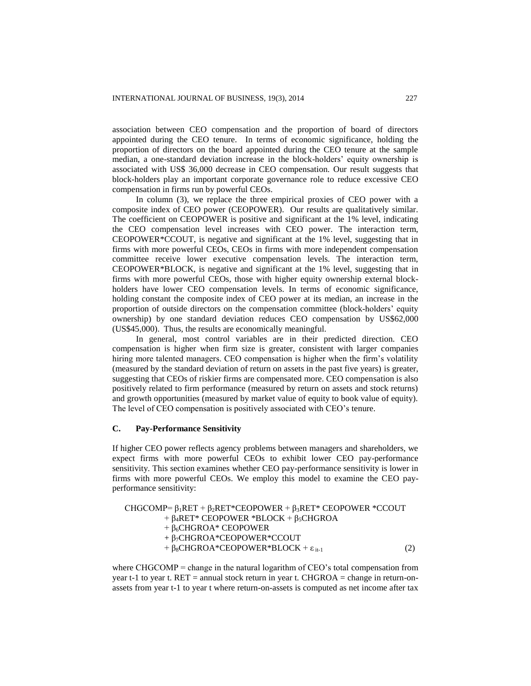association between CEO compensation and the proportion of board of directors appointed during the CEO tenure. In terms of economic significance, holding the proportion of directors on the board appointed during the CEO tenure at the sample median, a one-standard deviation increase in the block-holders' equity ownership is associated with US\$ 36,000 decrease in CEO compensation. Our result suggests that block-holders play an important corporate governance role to reduce excessive CEO compensation in firms run by powerful CEOs.

In column (3), we replace the three empirical proxies of CEO power with a composite index of CEO power (CEOPOWER). Our results are qualitatively similar. The coefficient on CEOPOWER is positive and significant at the 1% level, indicating the CEO compensation level increases with CEO power. The interaction term, CEOPOWER\*CCOUT, is negative and significant at the 1% level, suggesting that in firms with more powerful CEOs, CEOs in firms with more independent compensation committee receive lower executive compensation levels. The interaction term, CEOPOWER\*BLOCK, is negative and significant at the 1% level, suggesting that in firms with more powerful CEOs, those with higher equity ownership external blockholders have lower CEO compensation levels. In terms of economic significance, holding constant the composite index of CEO power at its median, an increase in the proportion of outside directors on the compensation committee (block-holders' equity ownership) by one standard deviation reduces CEO compensation by US\$62,000 (US\$45,000). Thus, the results are economically meaningful.

In general, most control variables are in their predicted direction. CEO compensation is higher when firm size is greater, consistent with larger companies hiring more talented managers. CEO compensation is higher when the firm's volatility (measured by the standard deviation of return on assets in the past five years) is greater, suggesting that CEOs of riskier firms are compensated more. CEO compensation is also positively related to firm performance (measured by return on assets and stock returns) and growth opportunities (measured by market value of equity to book value of equity). The level of CEO compensation is positively associated with CEO's tenure.

## **C. Pay-Performance Sensitivity**

If higher CEO power reflects agency problems between managers and shareholders, we expect firms with more powerful CEOs to exhibit lower CEO pay-performance sensitivity. This section examines whether CEO pay-performance sensitivity is lower in firms with more powerful CEOs. We employ this model to examine the CEO payperformance sensitivity:

| CHGCOMP= $\beta_1$ RET + $\beta_2$ RET*CEOPOWER + $\beta_3$ RET* CEOPOWER *CCOUT |     |
|----------------------------------------------------------------------------------|-----|
| + $\beta_4$ RET* CEOPOWER *BLOCK + $\beta_5$ CHGROA                              |     |
| $+ \beta_6$ CHGROA* CEOPOWER                                                     |     |
| $+ \beta_7$ CHGROA*CEOPOWER*CCOUT                                                |     |
| + $\beta_8$ CHGROA*CEOPOWER*BLOCK + $\varepsilon$ <sub>it-1</sub>                | (2) |
|                                                                                  |     |

where CHGCOMP = change in the natural logarithm of CEO's total compensation from year t-1 to year t. RET = annual stock return in year t. CHGROA = change in return-onassets from year t-1 to year t where return-on-assets is computed as net income after tax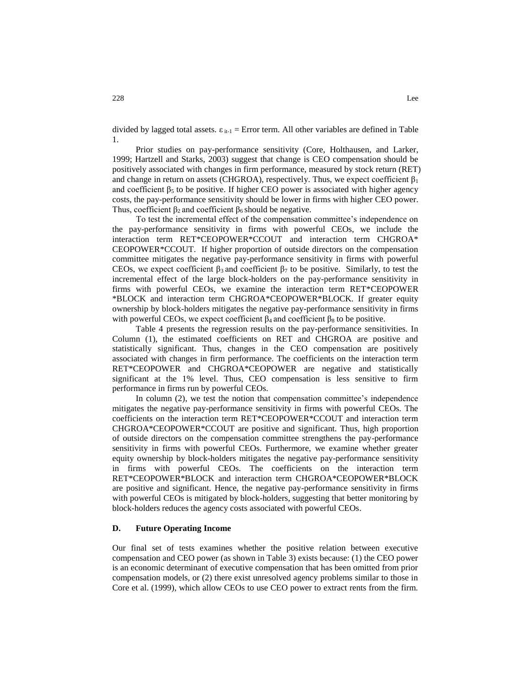divided by lagged total assets.  $\varepsilon_{i+1}$  = Error term. All other variables are defined in Table 1.

Prior studies on pay-performance sensitivity (Core, Holthausen, and Larker, 1999; Hartzell and Starks, 2003) suggest that change is CEO compensation should be positively associated with changes in firm performance, measured by stock return (RET) and change in return on assets (CHGROA), respectively. Thus, we expect coefficient  $\beta_1$ and coefficient  $\beta_5$  to be positive. If higher CEO power is associated with higher agency costs, the pay-performance sensitivity should be lower in firms with higher CEO power. Thus, coefficient  $\beta_2$  and coefficient  $\beta_6$  should be negative.

To test the incremental effect of the compensation committee's independence on the pay-performance sensitivity in firms with powerful CEOs, we include the interaction term RET\*CEOPOWER\*CCOUT and interaction term CHGROA\* CEOPOWER\*CCOUT. If higher proportion of outside directors on the compensation committee mitigates the negative pay-performance sensitivity in firms with powerful CEOs, we expect coefficient  $β_3$  and coefficient  $β_7$  to be positive. Similarly, to test the incremental effect of the large block-holders on the pay-performance sensitivity in firms with powerful CEOs, we examine the interaction term RET\*CEOPOWER \*BLOCK and interaction term CHGROA\*CEOPOWER\*BLOCK. If greater equity ownership by block-holders mitigates the negative pay-performance sensitivity in firms with powerful CEOs, we expect coefficient  $\beta_4$  and coefficient  $\beta_8$  to be positive.

Table 4 presents the regression results on the pay-performance sensitivities. In Column (1), the estimated coefficients on RET and CHGROA are positive and statistically significant. Thus, changes in the CEO compensation are positively associated with changes in firm performance. The coefficients on the interaction term RET\*CEOPOWER and CHGROA\*CEOPOWER are negative and statistically significant at the 1% level. Thus, CEO compensation is less sensitive to firm performance in firms run by powerful CEOs.

In column (2), we test the notion that compensation committee's independence mitigates the negative pay-performance sensitivity in firms with powerful CEOs. The coefficients on the interaction term RET\*CEOPOWER\*CCOUT and interaction term CHGROA\*CEOPOWER\*CCOUT are positive and significant. Thus, high proportion of outside directors on the compensation committee strengthens the pay-performance sensitivity in firms with powerful CEOs. Furthermore, we examine whether greater equity ownership by block-holders mitigates the negative pay-performance sensitivity in firms with powerful CEOs. The coefficients on the interaction term RET\*CEOPOWER\*BLOCK and interaction term CHGROA\*CEOPOWER\*BLOCK are positive and significant. Hence, the negative pay-performance sensitivity in firms with powerful CEOs is mitigated by block-holders, suggesting that better monitoring by block-holders reduces the agency costs associated with powerful CEOs.

## **D. Future Operating Income**

Our final set of tests examines whether the positive relation between executive compensation and CEO power (as shown in Table 3) exists because: (1) the CEO power is an economic determinant of executive compensation that has been omitted from prior compensation models, or (2) there exist unresolved agency problems similar to those in Core et al. (1999), which allow CEOs to use CEO power to extract rents from the firm.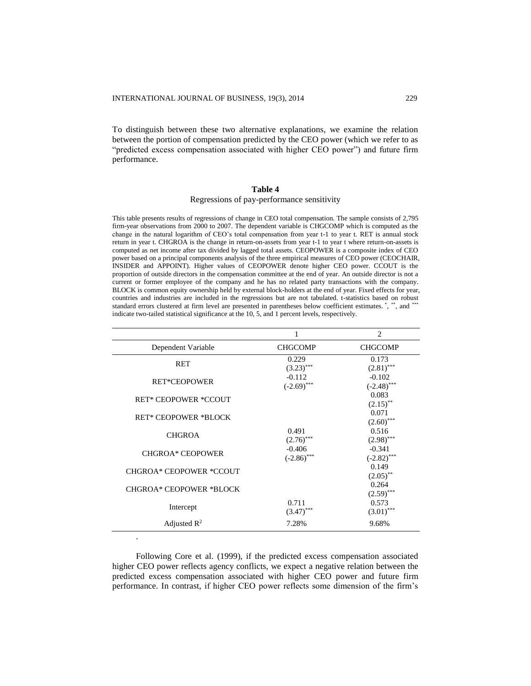To distinguish between these two alternative explanations, we examine the relation between the portion of compensation predicted by the CEO power (which we refer to as "predicted excess compensation associated with higher CEO power") and future firm performance.

### **Table 4**

### Regressions of pay-performance sensitivity

This table presents results of regressions of change in CEO total compensation. The sample consists of 2,795 firm-year observations from 2000 to 2007. The dependent variable is CHGCOMP which is computed as the change in the natural logarithm of CEO's total compensation from year t-1 to year t. RET is annual stock return in year t. CHGROA is the change in return-on-assets from year t-1 to year t where return-on-assets is computed as net income after tax divided by lagged total assets. CEOPOWER is a composite index of CEO power based on a principal components analysis of the three empirical measures of CEO power (CEOCHAIR, INSIDER and APPOINT). Higher values of CEOPOWER denote higher CEO power. CCOUT is the proportion of outside directors in the compensation committee at the end of year. An outside director is not a current or former employee of the company and he has no related party transactions with the company. BLOCK is common equity ownership held by external block-holders at the end of year. Fixed effects for year, countries and industries are included in the regressions but are not tabulated. t-statistics based on robust standard errors clustered at firm level are presented in parentheses below coefficient estimates. \*, \*\*, and \*\*\* indicate two-tailed statistical significance at the 10, 5, and 1 percent levels, respectively.

|                                |                           | $\overline{c}$                  |
|--------------------------------|---------------------------|---------------------------------|
| Dependent Variable             | <b>CHGCOMP</b>            | <b>CHGCOMP</b>                  |
| <b>RET</b>                     | 0.229<br>$(3.23)$ ***     | 0.173<br>$(2.81)$ ***           |
| <b>RET*CEOPOWER</b>            | $-0.112$<br>$(-2.69)$ *** | $-0.102$<br>$(-2.48)$ ***       |
| <b>RET* CEOPOWER *CCOUT</b>    |                           | 0.083<br>$(2.15)$ <sup>**</sup> |
| <b>RET* CEOPOWER *BLOCK</b>    |                           | 0.071<br>$(2.60)$ ***           |
| <b>CHGROA</b>                  | 0.491<br>$(2.76)$ ***     | 0.516<br>$(2.98)$ ***           |
| <b>CHGROA* CEOPOWER</b>        | $-0.406$<br>$(-2.86)$ *** | $-0.341$<br>$(-2.82)$ ***       |
| CHGROA* CEOPOWER *CCOUT        |                           | 0.149<br>$(2.05)$ **            |
| <b>CHGROA* CEOPOWER *BLOCK</b> |                           | 0.264<br>$(2.59)$ ***           |
| Intercept                      | 0.711<br>$(3.47)$ ***     | 0.573<br>$(3.01)$ ***           |
| Adjusted $\mathbb{R}^2$        | 7.28%                     | 9.68%                           |

Following Core et al. (1999), if the predicted excess compensation associated higher CEO power reflects agency conflicts, we expect a negative relation between the predicted excess compensation associated with higher CEO power and future firm performance. In contrast, if higher CEO power reflects some dimension of the firm's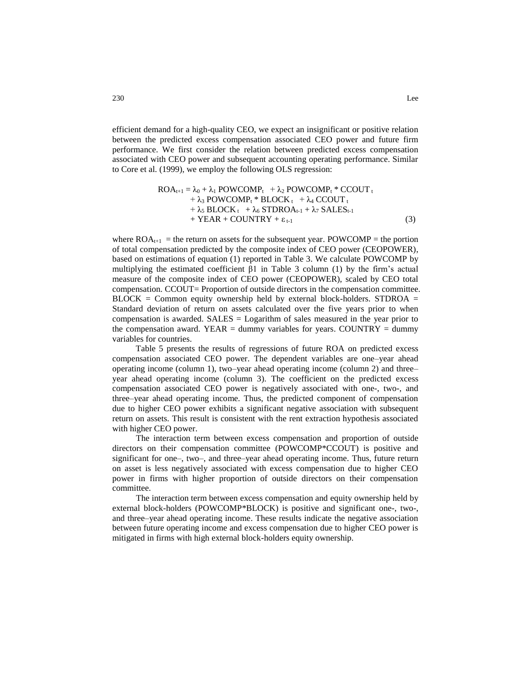efficient demand for a high-quality CEO, we expect an insignificant or positive relation between the predicted excess compensation associated CEO power and future firm performance. We first consider the relation between predicted excess compensation associated with CEO power and subsequent accounting operating performance. Similar to Core et al. (1999), we employ the following OLS regression:

$$
ROA_{t+1} = \lambda_0 + \lambda_1 POWCOMP_t + \lambda_2 POWCOMP_t * CCOUT_t + \lambda_3 POWCOMP_t * BLOCK_t + \lambda_4 CCOUT_t + \lambda_5 BLOCK_t + \lambda_6 STDROA_{t-1} + \lambda_7 SALES_{t-1} + YEAR + COUNTRY + \epsilon_{t-1}
$$
\n(3)

where  $ROA_{t+1}$  = the return on assets for the subsequent year. POWCOMP = the portion of total compensation predicted by the composite index of CEO power (CEOPOWER), based on estimations of equation (1) reported in Table 3. We calculate POWCOMP by multiplying the estimated coefficient  $\beta$ 1 in Table 3 column (1) by the firm's actual measure of the composite index of CEO power (CEOPOWER), scaled by CEO total compensation. CCOUT= Proportion of outside directors in the compensation committee.  $BLOCK =$  Common equity ownership held by external block-holders. STDROA = Standard deviation of return on assets calculated over the five years prior to when compensation is awarded. SALES = Logarithm of sales measured in the year prior to the compensation award. YEAR = dummy variables for years. COUNTRY = dummy variables for countries.

Table 5 presents the results of regressions of future ROA on predicted excess compensation associated CEO power. The dependent variables are one–year ahead operating income (column 1), two–year ahead operating income (column 2) and three– year ahead operating income (column 3). The coefficient on the predicted excess compensation associated CEO power is negatively associated with one-, two-, and three–year ahead operating income. Thus, the predicted component of compensation due to higher CEO power exhibits a significant negative association with subsequent return on assets. This result is consistent with the rent extraction hypothesis associated with higher CEO power.

The interaction term between excess compensation and proportion of outside directors on their compensation committee (POWCOMP\*CCOUT) is positive and significant for one–, two–, and three–year ahead operating income. Thus, future return on asset is less negatively associated with excess compensation due to higher CEO power in firms with higher proportion of outside directors on their compensation committee.

The interaction term between excess compensation and equity ownership held by external block-holders (POWCOMP\*BLOCK) is positive and significant one-, two-, and three–year ahead operating income. These results indicate the negative association between future operating income and excess compensation due to higher CEO power is mitigated in firms with high external block-holders equity ownership.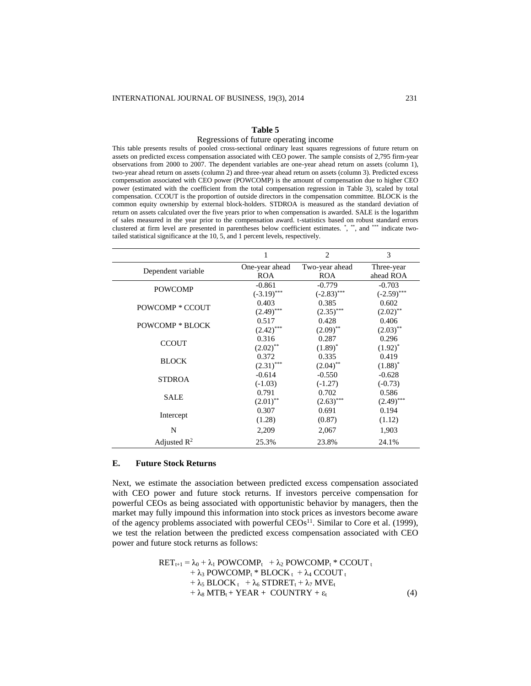### **Table 5**

### Regressions of future operating income

This table presents results of pooled cross-sectional ordinary least squares regressions of future return on assets on predicted excess compensation associated with CEO power. The sample consists of 2,795 firm-year observations from 2000 to 2007. The dependent variables are one-year ahead return on assets (column 1), two-year ahead return on assets (column 2) and three-year ahead return on assets (column 3). Predicted excess compensation associated with CEO power (POWCOMP) is the amount of compensation due to higher CEO power (estimated with the coefficient from the total compensation regression in Table 3), scaled by total compensation. CCOUT is the proportion of outside directors in the compensation committee. BLOCK is the common equity ownership by external block-holders. STDROA is measured as the standard deviation of return on assets calculated over the five years prior to when compensation is awarded. SALE is the logarithm of sales measured in the year prior to the compensation award. t-statistics based on robust standard errors clustered at firm level are presented in parentheses below coefficient estimates. \*, \*\*, and \*\*\* indicate twotailed statistical significance at the 10, 5, and 1 percent levels, respectively.

|                         | 1              | $\overline{c}$         | 3             |
|-------------------------|----------------|------------------------|---------------|
|                         | One-year ahead | Two-year ahead         | Three-year    |
| Dependent variable      | <b>ROA</b>     | <b>ROA</b>             | ahead ROA     |
| <b>POWCOMP</b>          | $-0.861$       | $-0.779$               | $-0.703$      |
|                         | $(-3.19)$ ***  | $(-2.83)$ ***          | $(-2.59)$ *** |
| POWCOMP * CCOUT         | 0.403          | 0.385                  | 0.602         |
|                         | $(2.49)$ ***   | $(2.35)$ ***           | $(2.02)$ **   |
| <b>POWCOMP * BLOCK</b>  | 0.517          | 0.428                  | 0.406         |
|                         | $(2.42)$ ***   | $(2.09)$ **            | $(2.03)$ **   |
| <b>CCOUT</b>            | 0.316          | 0.287                  | 0.296         |
|                         | $(2.02)$ **    | $(1.89)^*$             | $(1.92)^{*}$  |
| <b>BLOCK</b>            | 0.372          | 0.335                  | 0.419         |
|                         | $(2.31)$ ***   | $(2.04)$ <sup>**</sup> | $(1.88)^*$    |
| <b>STDROA</b>           | $-0.614$       | $-0.550$               | $-0.628$      |
|                         | $(-1.03)$      | $(-1.27)$              | $(-0.73)$     |
| SALE                    | 0.791          | 0.702                  | 0.586         |
|                         | $(2.01)$ **    | $(2.63)$ ***           | $(2.49)$ ***  |
| Intercept               | 0.307          | 0.691                  | 0.194         |
|                         | (1.28)         | (0.87)                 | (1.12)        |
| N                       | 2,209          | 2,067                  | 1,903         |
| Adjusted $\mathbb{R}^2$ | 25.3%          | 23.8%                  | 24.1%         |

### **E. Future Stock Returns**

Next, we estimate the association between predicted excess compensation associated with CEO power and future stock returns. If investors perceive compensation for powerful CEOs as being associated with opportunistic behavior by managers, then the market may fully impound this information into stock prices as investors become aware of the agency problems associated with powerful  $CEOs<sup>11</sup>$ . Similar to Core et al. (1999), we test the relation between the predicted excess compensation associated with CEO power and future stock returns as follows:

> $RET_{t+1} = \lambda_0 + \lambda_1$  POWCOMP<sub>t</sub>  $+ \lambda_2$  POWCOMP<sub>t</sub> \* CCOUT t  $+ \lambda_3$  POWCOMP<sub>t</sub> \* BLOCK<sub>t</sub> +  $\lambda_4$  CCOUT<sub>t</sub> +  $\lambda_5$  BLOCK<sub>t</sub> +  $\lambda_6$  STDRET<sub>t</sub> +  $\lambda_7$  MVE<sub>t</sub>  $+ \lambda_8 MTB_t + YEAR + COUNTRY + \varepsilon_t$  (4)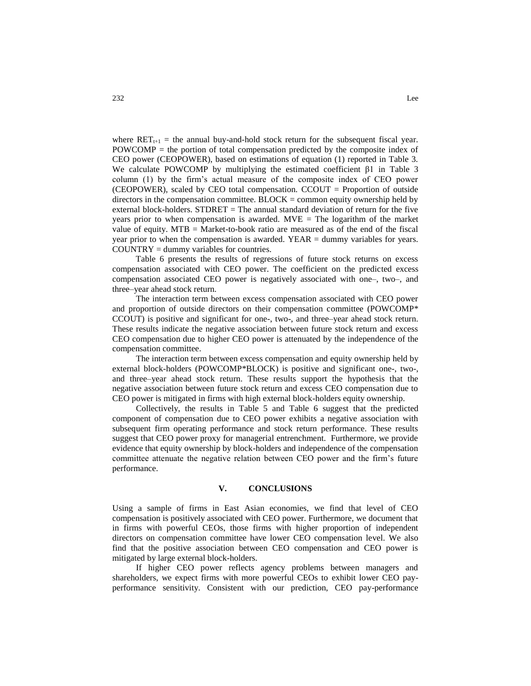where  $\text{RET}_{t+1}$  = the annual buy-and-hold stock return for the subsequent fiscal year. POWCOMP = the portion of total compensation predicted by the composite index of CEO power (CEOPOWER), based on estimations of equation (1) reported in Table 3. We calculate POWCOMP by multiplying the estimated coefficient  $\beta$ 1 in Table 3 column (1) by the firm's actual measure of the composite index of CEO power (CEOPOWER), scaled by CEO total compensation.  $CCOUT =$  Proportion of outside directors in the compensation committee.  $BLOCK =$  common equity ownership held by external block-holders. STDRET = The annual standard deviation of return for the five years prior to when compensation is awarded.  $MVE = The logarithm of the market$ value of equity. MTB = Market-to-book ratio are measured as of the end of the fiscal year prior to when the compensation is awarded. YEAR = dummy variables for years. COUNTRY = dummy variables for countries.

Table 6 presents the results of regressions of future stock returns on excess compensation associated with CEO power. The coefficient on the predicted excess compensation associated CEO power is negatively associated with one–, two–, and three–year ahead stock return.

The interaction term between excess compensation associated with CEO power and proportion of outside directors on their compensation committee (POWCOMP\* CCOUT) is positive and significant for one-, two-, and three–year ahead stock return. These results indicate the negative association between future stock return and excess CEO compensation due to higher CEO power is attenuated by the independence of the compensation committee.

The interaction term between excess compensation and equity ownership held by external block-holders (POWCOMP\*BLOCK) is positive and significant one-, two-, and three–year ahead stock return. These results support the hypothesis that the negative association between future stock return and excess CEO compensation due to CEO power is mitigated in firms with high external block-holders equity ownership.

Collectively, the results in Table 5 and Table 6 suggest that the predicted component of compensation due to CEO power exhibits a negative association with subsequent firm operating performance and stock return performance. These results suggest that CEO power proxy for managerial entrenchment. Furthermore, we provide evidence that equity ownership by block-holders and independence of the compensation committee attenuate the negative relation between CEO power and the firm's future performance.

## **V. CONCLUSIONS**

Using a sample of firms in East Asian economies, we find that level of CEO compensation is positively associated with CEO power. Furthermore, we document that in firms with powerful CEOs, those firms with higher proportion of independent directors on compensation committee have lower CEO compensation level. We also find that the positive association between CEO compensation and CEO power is mitigated by large external block-holders.

If higher CEO power reflects agency problems between managers and shareholders, we expect firms with more powerful CEOs to exhibit lower CEO payperformance sensitivity. Consistent with our prediction, CEO pay-performance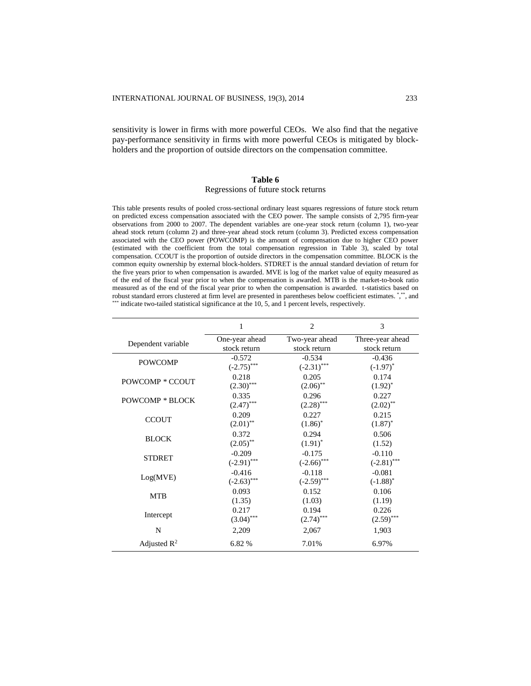sensitivity is lower in firms with more powerful CEOs. We also find that the negative pay-performance sensitivity in firms with more powerful CEOs is mitigated by blockholders and the proportion of outside directors on the compensation committee.

### **Table 6**

### Regressions of future stock returns

This table presents results of pooled cross-sectional ordinary least squares regressions of future stock return on predicted excess compensation associated with the CEO power. The sample consists of 2,795 firm-year observations from 2000 to 2007. The dependent variables are one-year stock return (column 1), two-year ahead stock return (column 2) and three-year ahead stock return (column 3). Predicted excess compensation associated with the CEO power (POWCOMP) is the amount of compensation due to higher CEO power (estimated with the coefficient from the total compensation regression in Table 3), scaled by total compensation. CCOUT is the proportion of outside directors in the compensation committee. BLOCK is the common equity ownership by external block-holders. STDRET is the annual standard deviation of return for the five years prior to when compensation is awarded. MVE is log of the market value of equity measured as of the end of the fiscal year prior to when the compensation is awarded. MTB is the market-to-book ratio measured as of the end of the fiscal year prior to when the compensation is awarded. t-statistics based on robust standard errors clustered at firm level are presented in parentheses below coefficient estimates. \*,\*\*, and indicate two-tailed statistical significance at the 10, 5, and 1 percent levels, respectively.

|                         | 1              | $\overline{c}$ | 3                |
|-------------------------|----------------|----------------|------------------|
| Dependent variable      | One-year ahead | Two-year ahead | Three-year ahead |
|                         | stock return   | stock return   | stock return     |
| <b>POWCOMP</b>          | $-0.572$       | $-0.534$       | $-0.436$         |
|                         | $(-2.75)$ ***  | $(-2.31)$ ***  | $(-1.97)^*$      |
| POWCOMP * CCOUT         | 0.218          | 0.205          | 0.174            |
|                         | $(2.30)$ ***   | $(2.06)$ **    | $(1.92)^{*}$     |
| <b>POWCOMP * BLOCK</b>  | 0.335          | 0.296          | 0.227            |
|                         | $(2.47)$ ***   | $(2.28)$ ***   | $(2.02)$ **      |
| <b>CCOUT</b>            | 0.209          | 0.227          | 0.215            |
|                         | $(2.01)$ **    | $(1.86)^*$     | $(1.87)^*$       |
|                         | 0.372          | 0.294          | 0.506            |
| <b>BLOCK</b>            | $(2.05)$ **    | $(1.91)^*$     | (1.52)           |
|                         | $-0.209$       | $-0.175$       | $-0.110$         |
| <b>STDRET</b>           | $(-2.91)$ ***  | $(-2.66)$ ***  | $(-2.81)$ ***    |
|                         | $-0.416$       | $-0.118$       | $-0.081$         |
| Log(MVE)                | $(-2.63)$ ***  | $(-2.59)$ ***  | $(-1.88)^*$      |
|                         | 0.093          | 0.152          | 0.106            |
| <b>MTB</b>              | (1.35)         | (1.03)         | (1.19)           |
|                         | 0.217          | 0.194          | 0.226            |
| Intercept               | $(3.04)$ ***   | $(2.74)$ ***   | $(2.59)$ ***     |
| N                       | 2,209          | 2,067          | 1,903            |
| Adjusted $\mathbb{R}^2$ | 6.82 %         | 7.01%          | 6.97%            |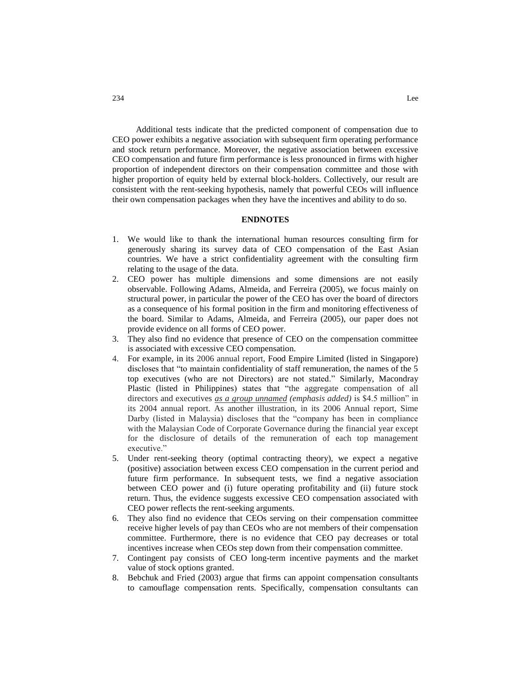Additional tests indicate that the predicted component of compensation due to CEO power exhibits a negative association with subsequent firm operating performance and stock return performance. Moreover, the negative association between excessive CEO compensation and future firm performance is less pronounced in firms with higher proportion of independent directors on their compensation committee and those with higher proportion of equity held by external block-holders. Collectively, our result are consistent with the rent-seeking hypothesis, namely that powerful CEOs will influence their own compensation packages when they have the incentives and ability to do so.

## **ENDNOTES**

- 1. We would like to thank the international human resources consulting firm for generously sharing its survey data of CEO compensation of the East Asian countries. We have a strict confidentiality agreement with the consulting firm relating to the usage of the data.
- 2. CEO power has multiple dimensions and some dimensions are not easily observable. Following Adams, Almeida, and Ferreira (2005), we focus mainly on structural power, in particular the power of the CEO has over the board of directors as a consequence of his formal position in the firm and monitoring effectiveness of the board. Similar to Adams, Almeida, and Ferreira (2005), our paper does not provide evidence on all forms of CEO power.
- 3. They also find no evidence that presence of CEO on the compensation committee is associated with excessive CEO compensation.
- 4. For example, in its 2006 annual report, Food Empire Limited (listed in Singapore) discloses that "to maintain confidentiality of staff remuneration, the names of the 5 top executives (who are not Directors) are not stated." Similarly, Macondray Plastic (listed in Philippines) states that "the aggregate compensation of all directors and executives *as a group unnamed (emphasis added)* is \$4.5 million" in its 2004 annual report. As another illustration, in its 2006 Annual report, Sime Darby (listed in Malaysia) discloses that the "company has been in compliance with the Malaysian Code of Corporate Governance during the financial year except for the disclosure of details of the remuneration of each top management executive."
- 5. Under rent-seeking theory (optimal contracting theory), we expect a negative (positive) association between excess CEO compensation in the current period and future firm performance. In subsequent tests, we find a negative association between CEO power and (i) future operating profitability and (ii) future stock return. Thus, the evidence suggests excessive CEO compensation associated with CEO power reflects the rent-seeking arguments.
- 6. They also find no evidence that CEOs serving on their compensation committee receive higher levels of pay than CEOs who are not members of their compensation committee. Furthermore, there is no evidence that CEO pay decreases or total incentives increase when CEOs step down from their compensation committee.
- 7. Contingent pay consists of CEO long-term incentive payments and the market value of stock options granted.
- 8. Bebchuk and Fried (2003) argue that firms can appoint compensation consultants to camouflage compensation rents. Specifically, compensation consultants can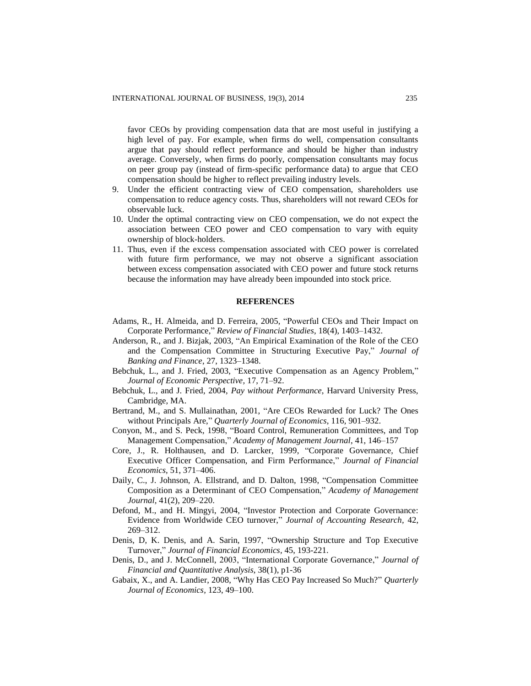favor CEOs by providing compensation data that are most useful in justifying a high level of pay. For example, when firms do well, compensation consultants argue that pay should reflect performance and should be higher than industry average. Conversely, when firms do poorly, compensation consultants may focus on peer group pay (instead of firm-specific performance data) to argue that CEO compensation should be higher to reflect prevailing industry levels.

- 9. Under the efficient contracting view of CEO compensation, shareholders use compensation to reduce agency costs. Thus, shareholders will not reward CEOs for observable luck.
- 10. Under the optimal contracting view on CEO compensation, we do not expect the association between CEO power and CEO compensation to vary with equity ownership of block-holders.
- 11. Thus, even if the excess compensation associated with CEO power is correlated with future firm performance, we may not observe a significant association between excess compensation associated with CEO power and future stock returns because the information may have already been impounded into stock price.

### **REFERENCES**

- Adams, R., H. Almeida, and D. Ferreira, 2005, "Powerful CEOs and Their Impact on Corporate Performance," *Review of Financial Studies*, 18(4), 1403–1432.
- Anderson, R., and J. Bizjak, 2003, "An Empirical Examination of the Role of the CEO and the Compensation Committee in Structuring Executive Pay," *Journal of Banking and Finance*, 27, 1323–1348.
- Bebchuk, L., and J. Fried, 2003, "Executive Compensation as an Agency Problem," *Journal of Economic Perspective,* 17, 71–92.
- Bebchuk, L., and J. Fried, 2004, *Pay without Performance*, Harvard University Press, Cambridge, MA.
- Bertrand, M., and S. Mullainathan, 2001, "Are CEOs Rewarded for Luck? The Ones without Principals Are," *Quarterly Journal of Economics*, 116, 901–932.
- Conyon, M., and S. Peck, 1998, "Board Control, Remuneration Committees, and Top Management Compensation," *Academy of Management Journal*, 41, 146–157
- Core, J., R. Holthausen, and D. Larcker, 1999, "Corporate Governance, Chief Executive Officer Compensation, and Firm Performance," *Journal of Financial Economics*, 51, 371–406.
- Daily, C., J. Johnson, A. Ellstrand, and D. Dalton, 1998, "Compensation Committee Composition as a Determinant of CEO Compensation," *Academy of Management Journal,* 41(2), 209–220.
- Defond, M., and H. Mingyi, 2004, "Investor Protection and Corporate Governance: Evidence from Worldwide CEO turnover," *Journal of Accounting Research,* 42, 269–312.
- Denis, D, K. Denis, and A. Sarin, 1997, "Ownership Structure and Top Executive Turnover," *Journal of Financial Economics,* 45, 193-221.
- Denis, D., and J. McConnell, 2003, "International Corporate Governance," *Journal of Financial and Quantitative Analysis*, 38(1), p1-36
- Gabaix, X., and A. Landier, 2008, "Why Has CEO Pay Increased So Much?" *Quarterly Journal of Economics,* 123, 49–100.